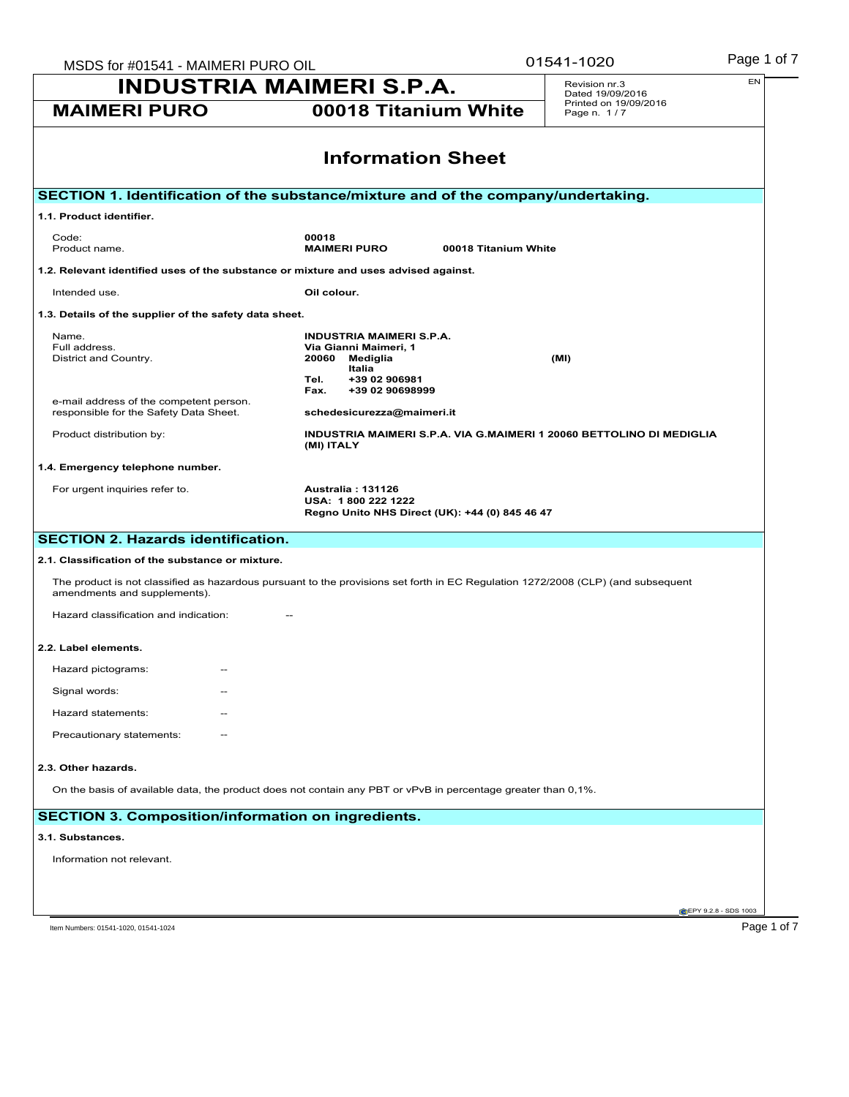| MSDS for #01541 - MAIMERI PURO OIL                                                                                                                                                             |                                                                      | 01541-1020                           | Page 1 of 7 |  |  |
|------------------------------------------------------------------------------------------------------------------------------------------------------------------------------------------------|----------------------------------------------------------------------|--------------------------------------|-------------|--|--|
| <b>INDUSTRIA MAIMERI S.P.A.</b>                                                                                                                                                                |                                                                      | Revision nr.3<br>Dated 19/09/2016    | EN          |  |  |
| 00018 Titanium White<br><b>MAIMERI PURO</b>                                                                                                                                                    |                                                                      | Printed on 19/09/2016<br>Page n. 1/7 |             |  |  |
| <b>Information Sheet</b>                                                                                                                                                                       |                                                                      |                                      |             |  |  |
| SECTION 1. Identification of the substance/mixture and of the company/undertaking.                                                                                                             |                                                                      |                                      |             |  |  |
| 1.1. Product identifier.                                                                                                                                                                       |                                                                      |                                      |             |  |  |
| Code:<br>00018<br><b>MAIMERI PURO</b><br>Product name.                                                                                                                                         | 00018 Titanium White                                                 |                                      |             |  |  |
| 1.2. Relevant identified uses of the substance or mixture and uses advised against.                                                                                                            |                                                                      |                                      |             |  |  |
| Intended use.<br>Oil colour.                                                                                                                                                                   |                                                                      |                                      |             |  |  |
| 1.3. Details of the supplier of the safety data sheet.                                                                                                                                         |                                                                      |                                      |             |  |  |
| <b>INDUSTRIA MAIMERI S.P.A.</b><br>Name.<br>Full address.<br>Via Gianni Maimeri, 1<br>District and Country.<br>20060<br>Mediglia<br>Italia<br>+39 02 906981<br>Tel.<br>Fax.<br>+39 02 90698999 |                                                                      | (MI)                                 |             |  |  |
| e-mail address of the competent person.<br>responsible for the Safety Data Sheet.<br>schedesicurezza@maimeri.it                                                                                |                                                                      |                                      |             |  |  |
| Product distribution by:<br>(MI) ITALY                                                                                                                                                         | INDUSTRIA MAIMERI S.P.A. VIA G.MAIMERI 1 20060 BETTOLINO DI MEDIGLIA |                                      |             |  |  |
| 1.4. Emergency telephone number.                                                                                                                                                               |                                                                      |                                      |             |  |  |
| For urgent inquiries refer to.<br><b>Australia: 131126</b><br>USA: 1800 222 1222                                                                                                               | Regno Unito NHS Direct (UK): +44 (0) 845 46 47                       |                                      |             |  |  |
| <b>SECTION 2. Hazards identification.</b>                                                                                                                                                      |                                                                      |                                      |             |  |  |
| 2.1. Classification of the substance or mixture.                                                                                                                                               |                                                                      |                                      |             |  |  |
| The product is not classified as hazardous pursuant to the provisions set forth in EC Regulation 1272/2008 (CLP) (and subsequent<br>amendments and supplements).                               |                                                                      |                                      |             |  |  |
| Hazard classification and indication:                                                                                                                                                          |                                                                      |                                      |             |  |  |
| 2.2. Label elements.                                                                                                                                                                           |                                                                      |                                      |             |  |  |
| Hazard pictograms:<br>$\overline{\phantom{m}}$                                                                                                                                                 |                                                                      |                                      |             |  |  |
| Signal words:                                                                                                                                                                                  |                                                                      |                                      |             |  |  |
| Hazard statements:                                                                                                                                                                             |                                                                      |                                      |             |  |  |
| Precautionary statements:                                                                                                                                                                      |                                                                      |                                      |             |  |  |
| 2.3. Other hazards.                                                                                                                                                                            |                                                                      |                                      |             |  |  |
| On the basis of available data, the product does not contain any PBT or vPvB in percentage greater than 0,1%.                                                                                  |                                                                      |                                      |             |  |  |
| <b>SECTION 3. Composition/information on ingredients.</b>                                                                                                                                      |                                                                      |                                      |             |  |  |
| 3.1. Substances.                                                                                                                                                                               |                                                                      |                                      |             |  |  |
| Information not relevant.                                                                                                                                                                      |                                                                      |                                      |             |  |  |
|                                                                                                                                                                                                |                                                                      |                                      |             |  |  |
|                                                                                                                                                                                                |                                                                      |                                      |             |  |  |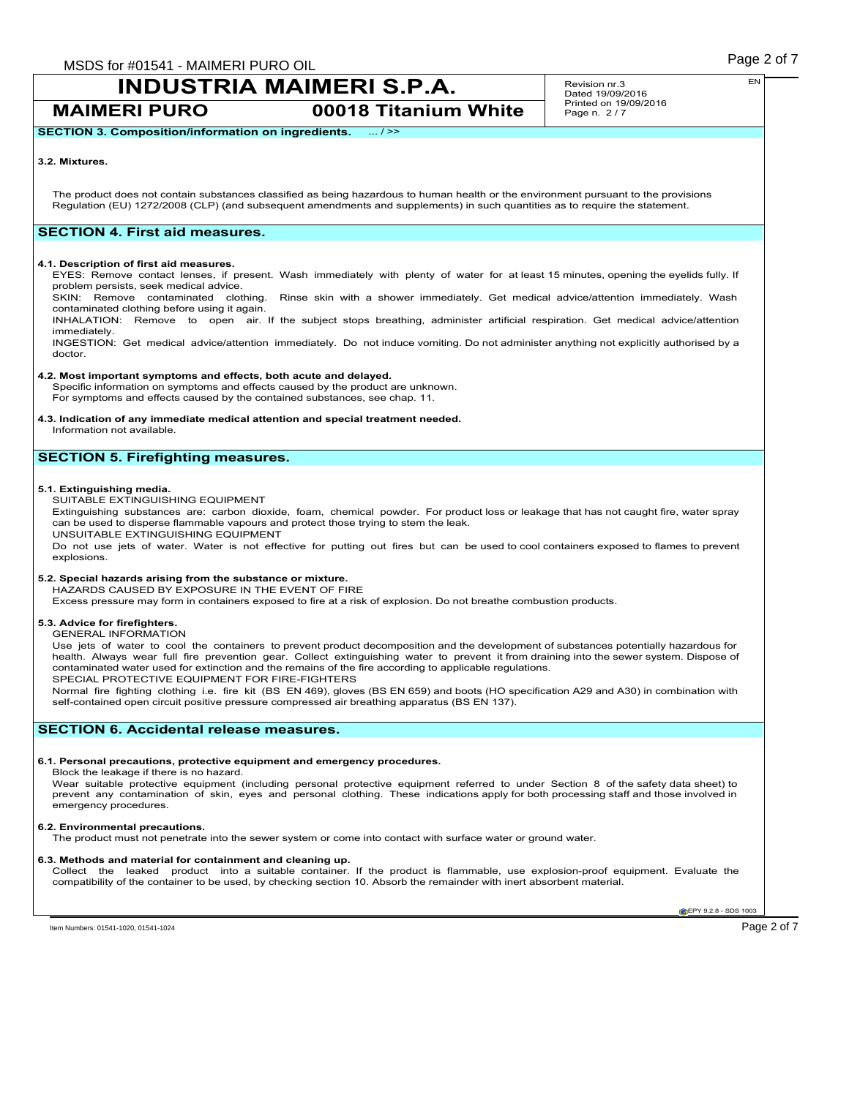**MAIMERI PURO 00018 Titanium White**

Revision nr.3 Dated 19/09/2016 Printed on 19/09/2016 Page n. 2 / 7

**SECTION 3. Composition/information on ingredients.** ... / >>

### **3.2. Mixtures.**

The product does not contain substances classified as being hazardous to human health or the environment pursuant to the provisions Regulation (EU) 1272/2008 (CLP) (and subsequent amendments and supplements) in such quantities as to require the statement.

# **SECTION 4. First aid measures.**

#### **4.1. Description of first aid measures.**

EYES: Remove contact lenses, if present. Wash immediately with plenty of water for at least 15 minutes, opening the eyelids fully. If problem persists, seek medical advice.

SKIN: Remove contaminated clothing. Rinse skin with a shower immediately. Get medical advice/attention immediately. Wash contaminated clothing before using it again.

INHALATION: Remove to open air. If the subject stops breathing, administer artificial respiration. Get medical advice/attention immediately.

INGESTION: Get medical advice/attention immediately. Do not induce vomiting. Do not administer anything not explicitly authorised by a doctor.

#### **4.2. Most important symptoms and effects, both acute and delayed.**

Specific information on symptoms and effects caused by the product are unknown. For symptoms and effects caused by the contained substances, see chap. 11.

# **4.3. Indication of any immediate medical attention and special treatment needed.**

Information not available.

# **SECTION 5. Firefighting measures.**

#### **5.1. Extinguishing media.**

SUITABLE EXTINGUISHING EQUIPMENT

Extinguishing substances are: carbon dioxide, foam, chemical powder. For product loss or leakage that has not caught fire, water spray can be used to disperse flammable vapours and protect those trying to stem the leak.

UNSUITABLE EXTINGUISHING EQUIPMENT

Do not use jets of water. Water is not effective for putting out fires but can be used to cool containers exposed to flames to prevent explosions.

### **5.2. Special hazards arising from the substance or mixture.**

HAZARDS CAUSED BY EXPOSURE IN THE EVENT OF FIRE

Excess pressure may form in containers exposed to fire at a risk of explosion. Do not breathe combustion products.

#### **5.3. Advice for firefighters.**

#### GENERAL INFORMATION

Use jets of water to cool the containers to prevent product decomposition and the development of substances potentially hazardous for health. Always wear full fire prevention gear. Collect extinguishing water to prevent it from draining into the sewer system. Dispose of contaminated water used for extinction and the remains of the fire according to applicable regulations. SPECIAL PROTECTIVE EQUIPMENT FOR FIRE-FIGHTERS

Normal fire fighting clothing i.e. fire kit (BS EN 469), gloves (BS EN 659) and boots (HO specification A29 and A30) in combination with self-contained open circuit positive pressure compressed air breathing apparatus (BS EN 137).

# **SECTION 6. Accidental release measures.**

#### **6.1. Personal precautions, protective equipment and emergency procedures.**

Block the leakage if there is no hazard.

Wear suitable protective equipment (including personal protective equipment referred to under Section 8 of the safety data sheet) to prevent any contamination of skin, eyes and personal clothing. These indications apply for both processing staff and those involved in emergency procedures.

#### **6.2. Environmental precautions.**

The product must not penetrate into the sewer system or come into contact with surface water or ground water.

### **6.3. Methods and material for containment and cleaning up.**

Collect the leaked product into a suitable container. If the product is flammable, use explosion-proof equipment. Evaluate the compatibility of the container to be used, by checking section 10. Absorb the remainder with inert absorbent material.

**EPY 9.2.8 - SDS 1003**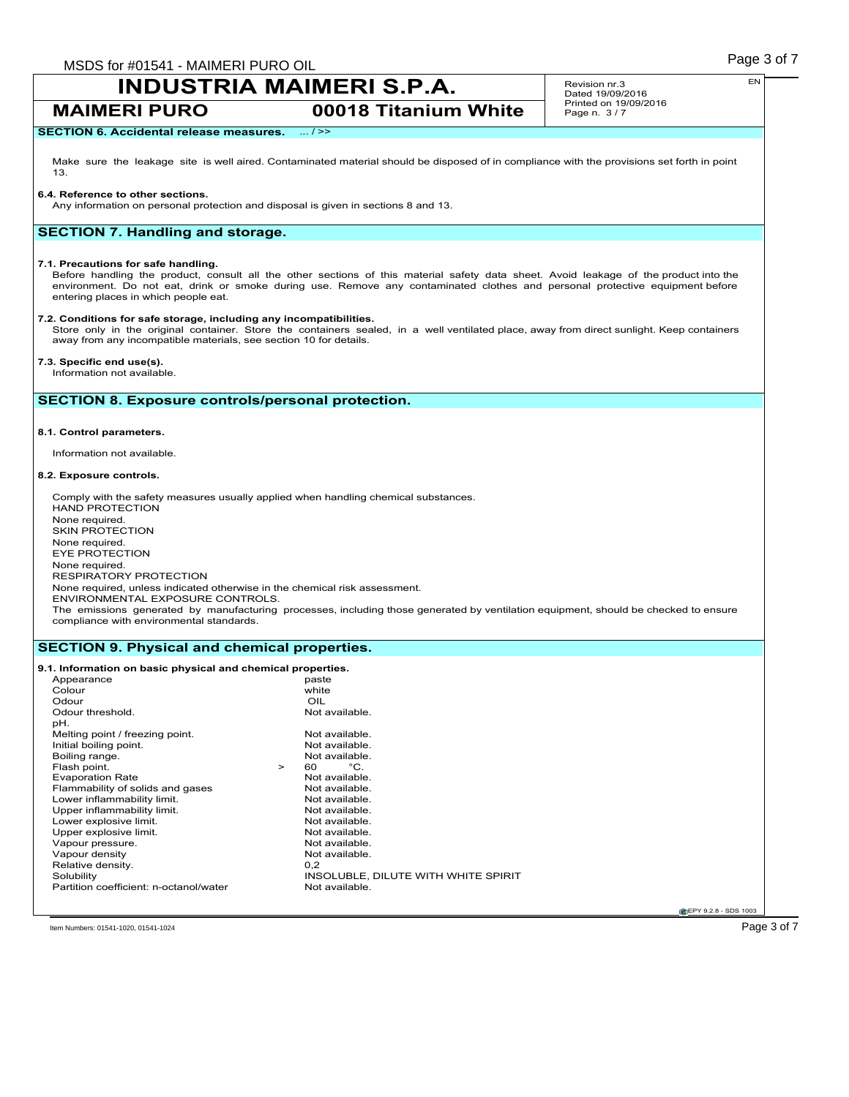**MAIMERI PURO 00018 Titanium White**

Revision nr.3 Dated 19/09/2016 Printed on 19/09/2016 Page n. 3 / 7

# **SECTION 6. Accidental release measures.** ... / >>

Make sure the leakage site is well aired. Contaminated material should be disposed of in compliance with the provisions set forth in point 13.

#### **6.4. Reference to other sections.**

Any information on personal protection and disposal is given in sections 8 and 13.

# **SECTION 7. Handling and storage.**

#### **7.1. Precautions for safe handling.**

Before handling the product, consult all the other sections of this material safety data sheet. Avoid leakage of the product into the environment. Do not eat, drink or smoke during use. Remove any contaminated clothes and personal protective equipment before entering places in which people eat.

## **7.2. Conditions for safe storage, including any incompatibilities.**

Store only in the original container. Store the containers sealed, in a well ventilated place, away from direct sunlight. Keep containers away from any incompatible materials, see section 10 for details.

# **7.3. Specific end use(s).**

Information not available.

# **SECTION 8. Exposure controls/personal protection.**

### **8.1. Control parameters.**

Information not available.

#### **8.2. Exposure controls.**

Comply with the safety measures usually applied when handling chemical substances. HAND PROTECTION None required. SKIN PROTECTION None required. EYE PROTECTION None required. RESPIRATORY PROTECTION None required, unless indicated otherwise in the chemical risk assessment. ENVIRONMENTAL EXPOSURE CONTROLS. The emissions generated by manufacturing processes, including those generated by ventilation equipment, should be checked to ensure compliance with environmental standards.

## **SECTION 9. Physical and chemical properties.**

# **9.1. Information on basic physical and chemical properties.**

| Appearance                             |        | paste                               |
|----------------------------------------|--------|-------------------------------------|
| Colour                                 |        | white                               |
| Odour                                  |        | OIL                                 |
| Odour threshold.                       |        | Not available.                      |
| pH.                                    |        |                                     |
| Melting point / freezing point.        |        | Not available.                      |
| Initial boiling point.                 |        | Not available.                      |
| Boiling range.                         |        | Not available.                      |
| Flash point.                           | $\geq$ | °C.<br>60                           |
| <b>Evaporation Rate</b>                |        | Not available.                      |
| Flammability of solids and gases       |        | Not available.                      |
| Lower inflammability limit.            |        | Not available.                      |
| Upper inflammability limit.            |        | Not available.                      |
| Lower explosive limit.                 |        | Not available.                      |
| Upper explosive limit.                 |        | Not available.                      |
| Vapour pressure.                       |        | Not available.                      |
| Vapour density                         |        | Not available.                      |
| Relative density.                      |        | 0.2                                 |
| Solubility                             |        | INSOLUBLE, DILUTE WITH WHITE SPIRIT |
| Partition coefficient: n-octanol/water |        | Not available.                      |
|                                        |        |                                     |

**CEPY 9.2.8 - SDS 1003** 

Item Numbers: 01541-1020, 01541-1024 **Page 3 of 7**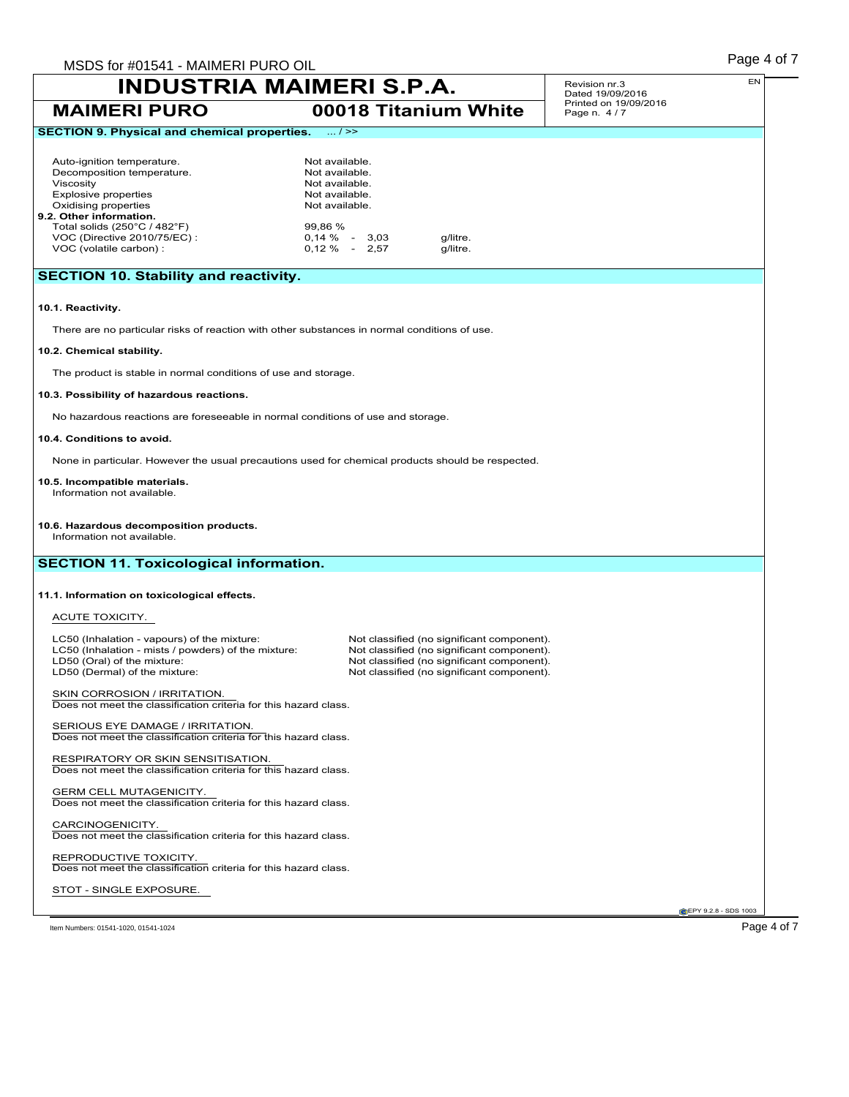| MSDS for #01541 - MAIMERI PURO OIL                                                                                                                                                                                                                 |                                                                                                   |                                    |                                                                                                                                                                                      |                                      | Page 4 of 7          |  |  |  |
|----------------------------------------------------------------------------------------------------------------------------------------------------------------------------------------------------------------------------------------------------|---------------------------------------------------------------------------------------------------|------------------------------------|--------------------------------------------------------------------------------------------------------------------------------------------------------------------------------------|--------------------------------------|----------------------|--|--|--|
| <b>INDUSTRIA MAIMERI S.P.A.</b>                                                                                                                                                                                                                    |                                                                                                   |                                    |                                                                                                                                                                                      | Revision nr.3<br>Dated 19/09/2016    | EN                   |  |  |  |
| <b>MAIMERI PURO</b>                                                                                                                                                                                                                                |                                                                                                   |                                    | 00018 Titanium White                                                                                                                                                                 | Printed on 19/09/2016<br>Page n. 4/7 |                      |  |  |  |
| <b>SECTION 9. Physical and chemical properties.</b><br>1.7 >                                                                                                                                                                                       |                                                                                                   |                                    |                                                                                                                                                                                      |                                      |                      |  |  |  |
| Auto-ignition temperature.<br>Decomposition temperature.<br>Viscosity<br><b>Explosive properties</b><br>Oxidising properties<br>9.2. Other information.<br>Total solids (250°C / 482°F)<br>VOC (Directive 2010/75/EC) :<br>VOC (volatile carbon) : | Not available.<br>Not available.<br>Not available.<br>Not available.<br>Not available.<br>99,86 % | $0,14\% - 3,03$<br>$0,12\% - 2,57$ | g/litre.<br>g/litre.                                                                                                                                                                 |                                      |                      |  |  |  |
| <b>SECTION 10. Stability and reactivity.</b>                                                                                                                                                                                                       |                                                                                                   |                                    |                                                                                                                                                                                      |                                      |                      |  |  |  |
| 10.1. Reactivity.                                                                                                                                                                                                                                  |                                                                                                   |                                    |                                                                                                                                                                                      |                                      |                      |  |  |  |
| There are no particular risks of reaction with other substances in normal conditions of use.                                                                                                                                                       |                                                                                                   |                                    |                                                                                                                                                                                      |                                      |                      |  |  |  |
| 10.2. Chemical stability.                                                                                                                                                                                                                          |                                                                                                   |                                    |                                                                                                                                                                                      |                                      |                      |  |  |  |
| The product is stable in normal conditions of use and storage.                                                                                                                                                                                     |                                                                                                   |                                    |                                                                                                                                                                                      |                                      |                      |  |  |  |
| 10.3. Possibility of hazardous reactions.                                                                                                                                                                                                          |                                                                                                   |                                    |                                                                                                                                                                                      |                                      |                      |  |  |  |
| No hazardous reactions are foreseeable in normal conditions of use and storage.                                                                                                                                                                    |                                                                                                   |                                    |                                                                                                                                                                                      |                                      |                      |  |  |  |
| 10.4. Conditions to avoid.                                                                                                                                                                                                                         |                                                                                                   |                                    |                                                                                                                                                                                      |                                      |                      |  |  |  |
| None in particular. However the usual precautions used for chemical products should be respected.                                                                                                                                                  |                                                                                                   |                                    |                                                                                                                                                                                      |                                      |                      |  |  |  |
| 10.5. Incompatible materials.<br>Information not available.                                                                                                                                                                                        |                                                                                                   |                                    |                                                                                                                                                                                      |                                      |                      |  |  |  |
| 10.6. Hazardous decomposition products.<br>Information not available.<br><b>SECTION 11. Toxicological information.</b>                                                                                                                             |                                                                                                   |                                    |                                                                                                                                                                                      |                                      |                      |  |  |  |
|                                                                                                                                                                                                                                                    |                                                                                                   |                                    |                                                                                                                                                                                      |                                      |                      |  |  |  |
| 11.1. Information on toxicological effects.                                                                                                                                                                                                        |                                                                                                   |                                    |                                                                                                                                                                                      |                                      |                      |  |  |  |
| ACUTE TOXICITY.                                                                                                                                                                                                                                    |                                                                                                   |                                    |                                                                                                                                                                                      |                                      |                      |  |  |  |
| LC50 (Inhalation - vapours) of the mixture:<br>LC50 (Inhalation - mists / powders) of the mixture:<br>LD50 (Oral) of the mixture:<br>LD50 (Dermal) of the mixture:                                                                                 |                                                                                                   |                                    | Not classified (no significant component).<br>Not classified (no significant component).<br>Not classified (no significant component).<br>Not classified (no significant component). |                                      |                      |  |  |  |
| SKIN CORROSION / IRRITATION.<br>Does not meet the classification criteria for this hazard class.                                                                                                                                                   |                                                                                                   |                                    |                                                                                                                                                                                      |                                      |                      |  |  |  |
| SERIOUS EYE DAMAGE / IRRITATION.<br>Does not meet the classification criteria for this hazard class.                                                                                                                                               |                                                                                                   |                                    |                                                                                                                                                                                      |                                      |                      |  |  |  |
| RESPIRATORY OR SKIN SENSITISATION.<br>Does not meet the classification criteria for this hazard class.                                                                                                                                             |                                                                                                   |                                    |                                                                                                                                                                                      |                                      |                      |  |  |  |
| GERM CELL MUTAGENICITY.<br>Does not meet the classification criteria for this hazard class.                                                                                                                                                        |                                                                                                   |                                    |                                                                                                                                                                                      |                                      |                      |  |  |  |
| CARCINOGENICITY.<br>Does not meet the classification criteria for this hazard class.                                                                                                                                                               |                                                                                                   |                                    |                                                                                                                                                                                      |                                      |                      |  |  |  |
| REPRODUCTIVE TOXICITY.<br>Does not meet the classification criteria for this hazard class.                                                                                                                                                         |                                                                                                   |                                    |                                                                                                                                                                                      |                                      |                      |  |  |  |
| STOT - SINGLE EXPOSURE.                                                                                                                                                                                                                            |                                                                                                   |                                    |                                                                                                                                                                                      |                                      |                      |  |  |  |
|                                                                                                                                                                                                                                                    |                                                                                                   |                                    |                                                                                                                                                                                      |                                      | EPY 9.2.8 - SDS 1003 |  |  |  |

Item Numbers: 01541-1020, 01541-1024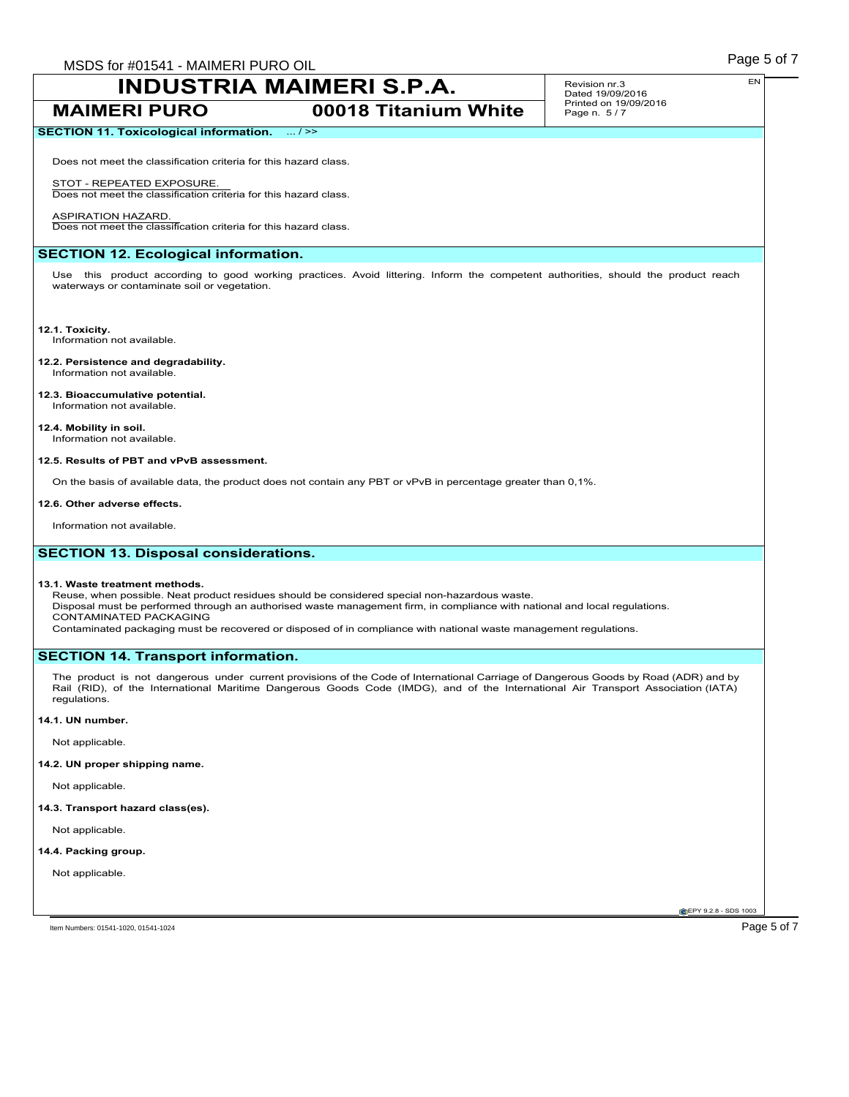**SECTION 11. Toxicological information.** ... / >>

# **INDUSTRIA MAIMERI S.P.A.**

**MAIMERI PURO 00018 Titanium White**

Does not meet the classification criteria for this hazard class.

STOT - REPEATED EXPOSURE. Does not meet the classification criteria for this hazard class.

ASPIRATION HAZARD. Does not meet the classification criteria for this hazard class.

# **SECTION 12. Ecological information.**

Use this product according to good working practices. Avoid littering. Inform the competent authorities, should the product reach waterways or contaminate soil or vegetation.

**12.1. Toxicity.**

Information not available.

**12.2. Persistence and degradability.** Information not available.

### **12.3. Bioaccumulative potential.** Information not available.

**12.4. Mobility in soil.**

Information not available.

### **12.5. Results of PBT and vPvB assessment.**

On the basis of available data, the product does not contain any PBT or vPvB in percentage greater than 0,1%.

#### **12.6. Other adverse effects.**

Information not available.

# **SECTION 13. Disposal considerations.**

### **13.1. Waste treatment methods.**

Reuse, when possible. Neat product residues should be considered special non-hazardous waste. Disposal must be performed through an authorised waste management firm, in compliance with national and local regulations. CONTAMINATED PACKAGING Contaminated packaging must be recovered or disposed of in compliance with national waste management regulations.

# **SECTION 14. Transport information.**

The product is not dangerous under current provisions of the Code of International Carriage of Dangerous Goods by Road (ADR) and by Rail (RID), of the International Maritime Dangerous Goods Code (IMDG), and of the International Air Transport Association (IATA) regulations.

**14.1. UN number.**

Not applicable.

**14.2. UN proper shipping name.**

Not applicable.

**14.3. Transport hazard class(es).**

Not applicable.

**14.4. Packing group.**

Not applicable.

**CEPY 9.2.8 - SDS 1003** 

Item Numbers: 01541-1020, 01541-1024 **Page 5 of 7**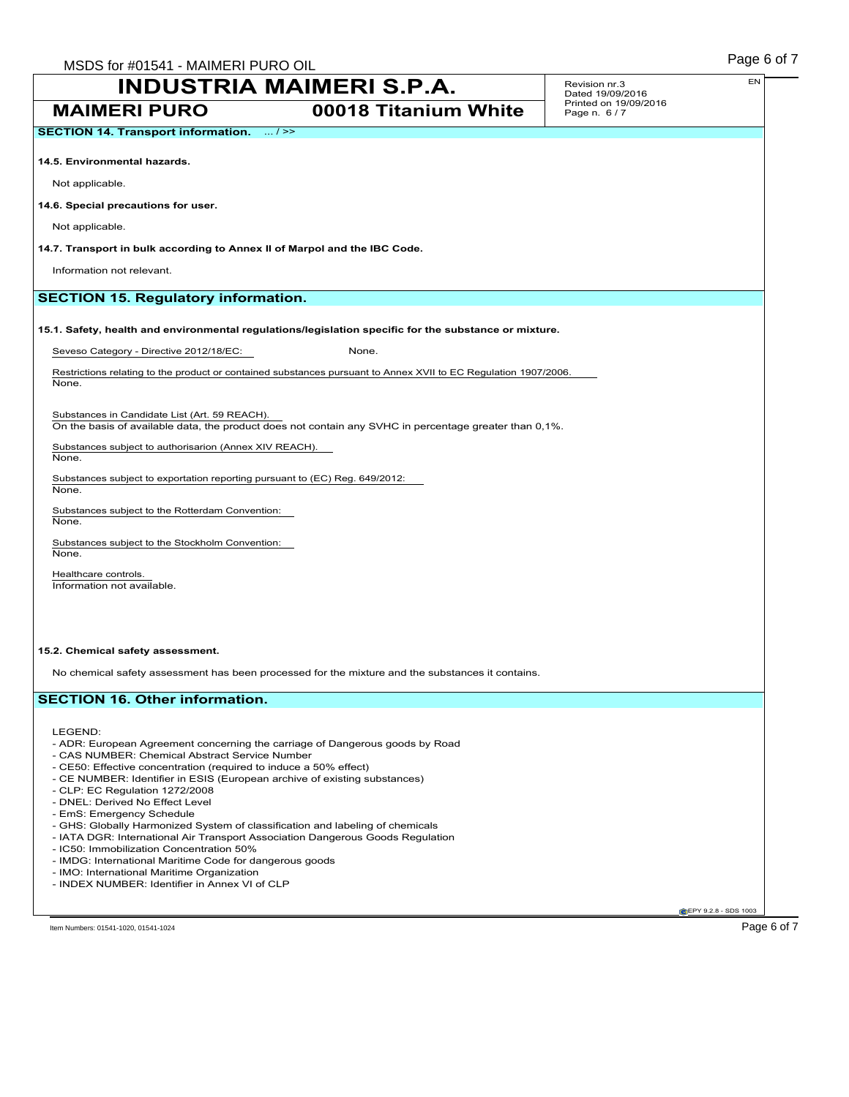**MAIMERI PURO 00018 Titanium White** Revision nr.3 Dated 19/09/2016 Printed on 19/09/2016 Page n. 6 / 7 **SECTION 14. Transport information.** ... / >> **14.5. Environmental hazards.** Not applicable. **14.6. Special precautions for user.** Not applicable. **14.7. Transport in bulk according to Annex II of Marpol and the IBC Code.** Information not relevant. **SECTION 15. Regulatory information. 15.1. Safety, health and environmental regulations/legislation specific for the substance or mixture.** Seveso Category - Directive 2012/18/EC: None.

Restrictions relating to the product or contained substances pursuant to Annex XVII to EC Regulation 1907/2006. None.

Substances in Candidate List (Art. 59 REACH).

On the basis of available data, the product does not contain any SVHC in percentage greater than 0,1%.

Substances subject to authorisarion (Annex XIV REACH).

None.

Substances subject to exportation reporting pursuant to (EC) Reg. 649/2012: None.

Substances subject to the Rotterdam Convention: None.

Substances subject to the Stockholm Convention: None.

Healthcare controls. Information not available.

#### **15.2. Chemical safety assessment.**

No chemical safety assessment has been processed for the mixture and the substances it contains.

# **SECTION 16. Other information.**

LEGEND:

- ADR: European Agreement concerning the carriage of Dangerous goods by Road
- CAS NUMBER: Chemical Abstract Service Number
- CE50: Effective concentration (required to induce a 50% effect)
- CE NUMBER: Identifier in ESIS (European archive of existing substances)
- CLP: EC Regulation 1272/2008
- DNEL: Derived No Effect Level
- EmS: Emergency Schedule
- GHS: Globally Harmonized System of classification and labeling of chemicals
- IATA DGR: International Air Transport Association Dangerous Goods Regulation
- IC50: Immobilization Concentration 50%
- IMDG: International Maritime Code for dangerous goods
- IMO: International Maritime Organization
- INDEX NUMBER: Identifier in Annex VI of CLP

EN

**CEPY 9.2.8 - SDS 1003**